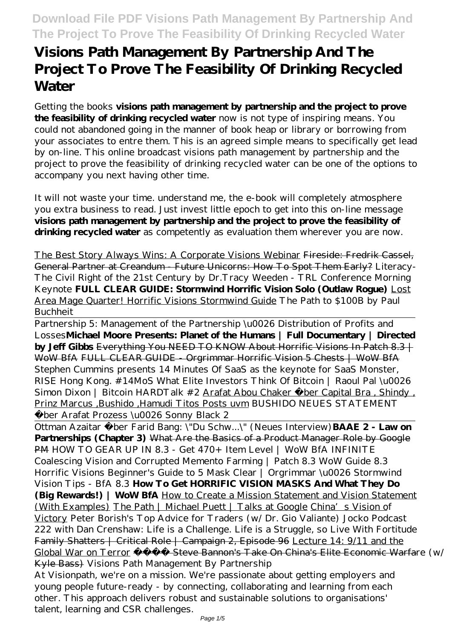# **Visions Path Management By Partnership And The Project To Prove The Feasibility Of Drinking Recycled Water**

Getting the books **visions path management by partnership and the project to prove the feasibility of drinking recycled water** now is not type of inspiring means. You could not abandoned going in the manner of book heap or library or borrowing from your associates to entre them. This is an agreed simple means to specifically get lead by on-line. This online broadcast visions path management by partnership and the project to prove the feasibility of drinking recycled water can be one of the options to accompany you next having other time.

It will not waste your time. understand me, the e-book will completely atmosphere you extra business to read. Just invest little epoch to get into this on-line message **visions path management by partnership and the project to prove the feasibility of** drinking recycled water as competently as evaluation them wherever you are now.

The Best Story Always Wins: A Corporate Visions Webinar Fireside: Fredrik Cassel, General Partner at Creandum - Future Unicorns: How To Spot Them Early? Literacy-The Civil Right of the 21st Century by Dr.Tracy Weeden - TRL Conference Morning Keynote **FULL CLEAR GUIDE: Stormwind Horrific Vision Solo (Outlaw Rogue)** Lost Area Mage Quarter! Horrific Visions Stormwind Guide *The Path to \$100B by Paul Buchheit*

Partnership 5: Management of the Partnership \u0026 Distribution of Profits and Losses**Michael Moore Presents: Planet of the Humans | Full Documentary | Directed by Jeff Gibbs** Everything You NEED TO KNOW About Horrific Visions In Patch 8.3 | WoW BfA FULL CLEAR GUIDE - Orgrimmar Horrific Vision 5 Chests | WoW BfA *Stephen Cummins presents 14 Minutes Of SaaS as the keynote for SaaS Monster, RISE Hong Kong. #14MoS What Elite Investors Think Of Bitcoin | Raoul Pal \u0026 Simon Dixon | Bitcoin HARDTalk #2* Arafat Abou Chaker über Capital Bra , Shindy , Prinz Marcus ,Bushido ,Hamudi Titos Posts uvm *BUSHIDO NEUES STATEMENT über Arafat Prozess \u0026 Sonny Black 2*

Ottman Azaitar über Farid Bang: \"Du Schw...\" (Neues Interview)**BAAE 2 - Law on Partnerships (Chapter 3)** What Are the Basics of a Product Manager Role by Google PM *HOW TO GEAR UP IN 8.3 - Get 470+ Item Level | WoW BfA INFINITE Coalescing Vision and Corrupted Memento Farming | Patch 8.3 WoW Guide 8.3 Horrific Visions Beginner's Guide to 5 Mask Clear | Orgrimmar \u0026 Stormwind Vision Tips - BfA 8.3* **How To Get HORRIFIC VISION MASKS And What They Do (Big Rewards!) | WoW BfA** How to Create a Mission Statement and Vision Statement (With Examples) The Path | Michael Puett | Talks at Google China's Vision of Victory *Peter Borish's Top Advice for Traders (w/ Dr. Gio Valiante) Jocko Podcast 222 with Dan Crenshaw: Life is a Challenge. Life is a Struggle, so Live With Fortitude* Family Shatters | Critical Role | Campaign 2, Episode 96 Lecture 14: 9/11 and the Global War on Terror - Steve Bannon's Take On China's Elite Economic Warfare (w/ Kyle Bass) *Visions Path Management By Partnership*

At Visionpath, we're on a mission. We're passionate about getting employers and young people future-ready - by connecting, collaborating and learning from each other. This approach delivers robust and sustainable solutions to organisations' talent, learning and CSR challenges.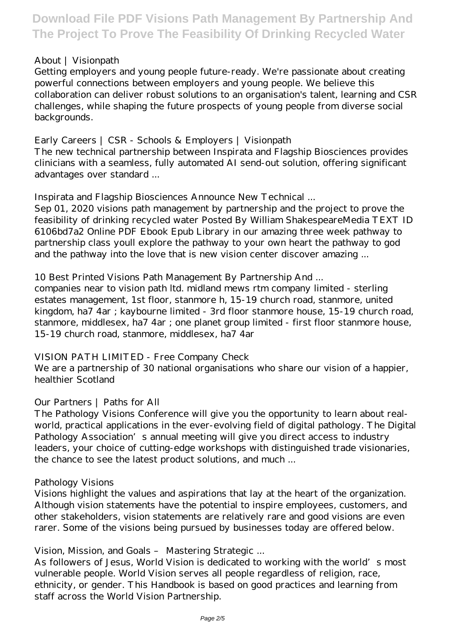### *About | Visionpath*

Getting employers and young people future-ready. We're passionate about creating powerful connections between employers and young people. We believe this collaboration can deliver robust solutions to an organisation's talent, learning and CSR challenges, while shaping the future prospects of young people from diverse social backgrounds.

### *Early Careers | CSR - Schools & Employers | Visionpath*

The new technical partnership between Inspirata and Flagship Biosciences provides clinicians with a seamless, fully automated AI send-out solution, offering significant advantages over standard ...

### *Inspirata and Flagship Biosciences Announce New Technical ...*

Sep 01, 2020 visions path management by partnership and the project to prove the feasibility of drinking recycled water Posted By William ShakespeareMedia TEXT ID 6106bd7a2 Online PDF Ebook Epub Library in our amazing three week pathway to partnership class youll explore the pathway to your own heart the pathway to god and the pathway into the love that is new vision center discover amazing ...

### *10 Best Printed Visions Path Management By Partnership And ...*

companies near to vision path ltd. midland mews rtm company limited - sterling estates management, 1st floor, stanmore h, 15-19 church road, stanmore, united kingdom, ha7 4ar ; kaybourne limited - 3rd floor stanmore house, 15-19 church road, stanmore, middlesex, ha7 4ar ; one planet group limited - first floor stanmore house, 15-19 church road, stanmore, middlesex, ha7 4ar

### *VISION PATH LIMITED - Free Company Check*

We are a partnership of 30 national organisations who share our vision of a happier, healthier Scotland

### *Our Partners | Paths for All*

The Pathology Visions Conference will give you the opportunity to learn about realworld, practical applications in the ever-evolving field of digital pathology. The Digital Pathology Association's annual meeting will give you direct access to industry leaders, your choice of cutting-edge workshops with distinguished trade visionaries, the chance to see the latest product solutions, and much ...

### *Pathology Visions*

Visions highlight the values and aspirations that lay at the heart of the organization. Although vision statements have the potential to inspire employees, customers, and other stakeholders, vision statements are relatively rare and good visions are even rarer. Some of the visions being pursued by businesses today are offered below.

### *Vision, Mission, and Goals – Mastering Strategic ...*

As followers of Jesus, World Vision is dedicated to working with the world's most vulnerable people. World Vision serves all people regardless of religion, race, ethnicity, or gender. This Handbook is based on good practices and learning from staff across the World Vision Partnership.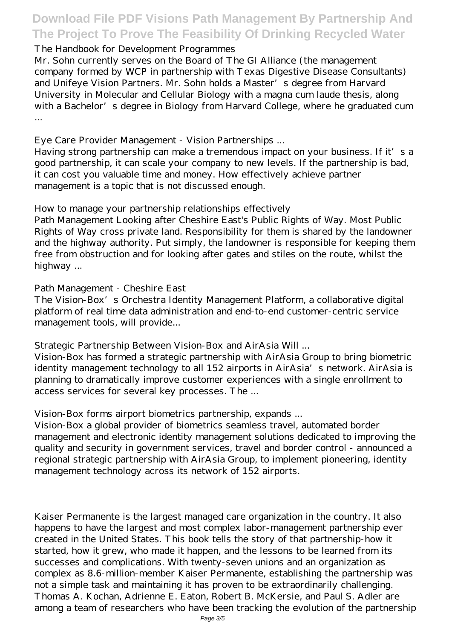### *The Handbook for Development Programmes*

Mr. Sohn currently serves on the Board of The GI Alliance (the management company formed by WCP in partnership with Texas Digestive Disease Consultants) and Unifeye Vision Partners. Mr. Sohn holds a Master's degree from Harvard University in Molecular and Cellular Biology with a magna cum laude thesis, along with a Bachelor's degree in Biology from Harvard College, where he graduated cum ...

### *Eye Care Provider Management - Vision Partnerships ...*

Having strong partnership can make a tremendous impact on your business. If it's a good partnership, it can scale your company to new levels. If the partnership is bad, it can cost you valuable time and money. How effectively achieve partner management is a topic that is not discussed enough.

### *How to manage your partnership relationships effectively*

Path Management Looking after Cheshire East's Public Rights of Way. Most Public Rights of Way cross private land. Responsibility for them is shared by the landowner and the highway authority. Put simply, the landowner is responsible for keeping them free from obstruction and for looking after gates and stiles on the route, whilst the highway ...

### *Path Management - Cheshire East*

The Vision-Box's Orchestra Identity Management Platform, a collaborative digital platform of real time data administration and end-to-end customer-centric service management tools, will provide...

### *Strategic Partnership Between Vision-Box and AirAsia Will ...*

Vision-Box has formed a strategic partnership with AirAsia Group to bring biometric identity management technology to all 152 airports in AirAsia's network. AirAsia is planning to dramatically improve customer experiences with a single enrollment to access services for several key processes. The ...

### *Vision-Box forms airport biometrics partnership, expands ...*

Vision-Box a global provider of biometrics seamless travel, automated border management and electronic identity management solutions dedicated to improving the quality and security in government services, travel and border control - announced a regional strategic partnership with AirAsia Group, to implement pioneering, identity management technology across its network of 152 airports.

Kaiser Permanente is the largest managed care organization in the country. It also happens to have the largest and most complex labor-management partnership ever created in the United States. This book tells the story of that partnership-how it started, how it grew, who made it happen, and the lessons to be learned from its successes and complications. With twenty-seven unions and an organization as complex as 8.6-million-member Kaiser Permanente, establishing the partnership was not a simple task and maintaining it has proven to be extraordinarily challenging. Thomas A. Kochan, Adrienne E. Eaton, Robert B. McKersie, and Paul S. Adler are among a team of researchers who have been tracking the evolution of the partnership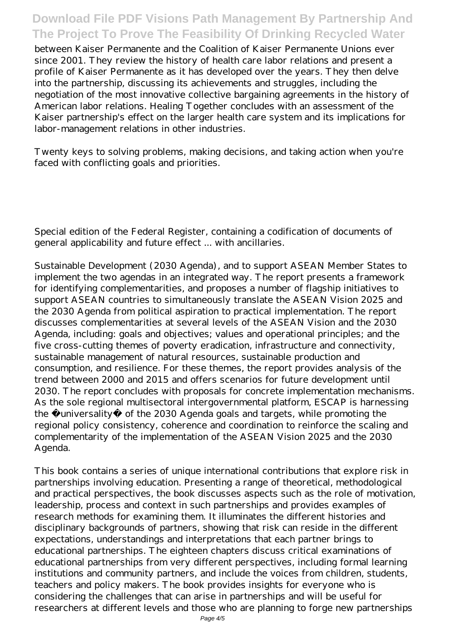between Kaiser Permanente and the Coalition of Kaiser Permanente Unions ever since 2001. They review the history of health care labor relations and present a profile of Kaiser Permanente as it has developed over the years. They then delve into the partnership, discussing its achievements and struggles, including the negotiation of the most innovative collective bargaining agreements in the history of American labor relations. Healing Together concludes with an assessment of the Kaiser partnership's effect on the larger health care system and its implications for labor-management relations in other industries.

Twenty keys to solving problems, making decisions, and taking action when you're faced with conflicting goals and priorities.

Special edition of the Federal Register, containing a codification of documents of general applicability and future effect ... with ancillaries.

Sustainable Development (2030 Agenda), and to support ASEAN Member States to implement the two agendas in an integrated way. The report presents a framework for identifying complementarities, and proposes a number of flagship initiatives to support ASEAN countries to simultaneously translate the ASEAN Vision 2025 and the 2030 Agenda from political aspiration to practical implementation. The report discusses complementarities at several levels of the ASEAN Vision and the 2030 Agenda, including: goals and objectives; values and operational principles; and the five cross-cutting themes of poverty eradication, infrastructure and connectivity, sustainable management of natural resources, sustainable production and consumption, and resilience. For these themes, the report provides analysis of the trend between 2000 and 2015 and offers scenarios for future development until 2030. The report concludes with proposals for concrete implementation mechanisms. As the sole regional multisectoral intergovernmental platform, ESCAP is harnessing the universality of the 2030 Agenda goals and targets, while promoting the regional policy consistency, coherence and coordination to reinforce the scaling and complementarity of the implementation of the ASEAN Vision 2025 and the 2030 Agenda.

This book contains a series of unique international contributions that explore risk in partnerships involving education. Presenting a range of theoretical, methodological and practical perspectives, the book discusses aspects such as the role of motivation, leadership, process and context in such partnerships and provides examples of research methods for examining them. It illuminates the different histories and disciplinary backgrounds of partners, showing that risk can reside in the different expectations, understandings and interpretations that each partner brings to educational partnerships. The eighteen chapters discuss critical examinations of educational partnerships from very different perspectives, including formal learning institutions and community partners, and include the voices from children, students, teachers and policy makers. The book provides insights for everyone who is considering the challenges that can arise in partnerships and will be useful for researchers at different levels and those who are planning to forge new partnerships